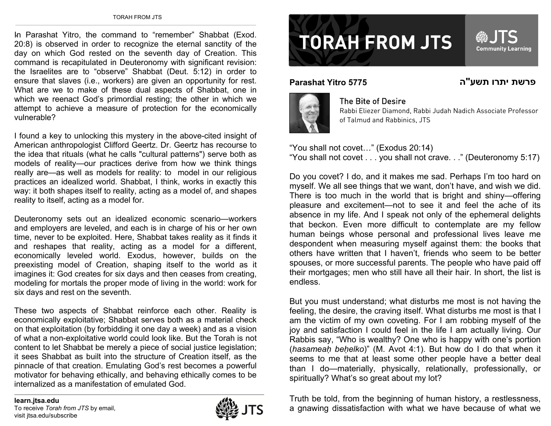In Parashat Yitro, the command to "remember" Shabbat (Exod. 20:8) is observed in order to recognize the eternal sanctity of the day on which God rested on the seventh day of Creation. This command is recapitulated in Deuteronomy with significant revision: the Israelites are to "observe" Shabbat (Deut. 5:12) in order to ensure that slaves (i.e., workers) are given an opportunity for rest. What are we to make of these dual aspects of Shabbat, one in which we reenact God's primordial resting; the other in which we attempt to achieve a measure of protection for the economically vulnerable?

I found a key to unlocking this mystery in the above-cited insight of American anthropologist Clifford Geertz. Dr. Geertz has recourse to the idea that rituals (what he calls "cultural patterns") serve both as models of reality—our practices derive from how we think things really are—as well as models for reality: to model in our religious practices an idealized world. Shabbat, I think, works in exactly this way: it both shapes itself to reality, acting as a model of, and shapes reality to itself, acting as a model for.

Deuteronomy sets out an idealized economic scenario—workers and employers are leveled, and each is in charge of his or her own time, never to be exploited. Here, Shabbat takes reality as it finds it and reshapes that reality, acting as a model for a different, economically leveled world. Exodus, however, builds on the preexisting model of Creation, shaping itself to the world as it imagines it: God creates for six days and then ceases from creating, modeling for mortals the proper mode of living in the world: work for six days and rest on the seventh.

These two aspects of Shabbat reinforce each other. Reality is economically exploitative; Shabbat serves both as a material check on that exploitation (by forbidding it one day a week) and as a vision of what a non-exploitative world could look like. But the Torah is not content to let Shabbat be merely a piece of social justice legislation; it sees Shabbat as built into the structure of Creation itself, as the pinnacle of that creation. Emulating God's rest becomes a powerful motivator for behaving ethically, and behaving ethically comes to be internalized as a manifestation of emulated God.



## **TORAH FROM JTS**

**Parashat Yitro 5775**



## The Bite of Desire

Rabbi Eliezer Diamond, Rabbi Judah Nadich Associate Professor of Talmud and Rabbinics, JTS

"You shall not covet…" (Exodus 20:14) "You shall not covet . . . you shall not crave. . ." (Deuteronomy 5:17)

Do you covet? I do, and it makes me sad. Perhaps I'm too hard on myself. We all see things that we want, don't have, and wish we did. There is too much in the world that is bright and shiny—offering pleasure and excitement—not to see it and feel the ache of its absence in my life. And I speak not only of the ephemeral delights that beckon. Even more difficult to contemplate are my fellow human beings whose personal and professional lives leave me despondent when measuring myself against them: the books that others have written that I haven't, friends who seem to be better spouses, or more successful parents. The people who have paid off their mortgages; men who still have all their hair. In short, the list is endless.

But you must understand; what disturbs me most is not having the feeling, the desire, the craving itself. What disturbs me most is that I am the victim of my own coveting. For I am robbing myself of the joy and satisfaction I could feel in the life I am actually living. Our Rabbis say, "Who is wealthy? One who is happy with one's portion (*hasamea ḥ be ḥelko*)" (M. Avot 4:1). But how do I do that when it seems to me that at least some other people have a better deal than I do—materially, physically, relationally, professionally, or spiritually? What's so great about my lot?

Truth be told, from the beginning of human history, a restlessness, a gnawing dissatisfaction with what we have because of what we

Community Learning